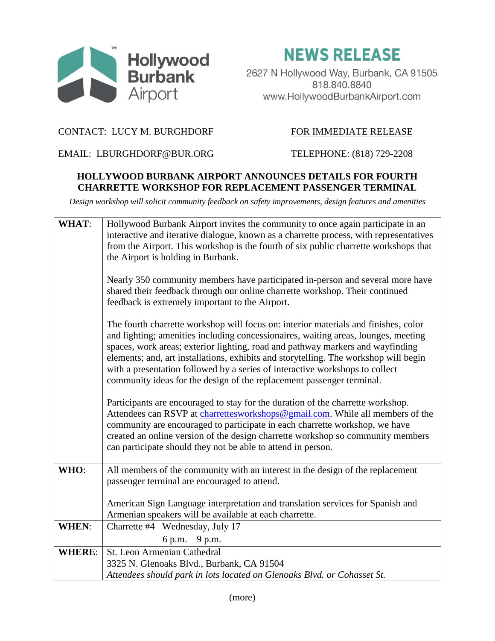

**NEWS RELEASE** 

2627 N Hollywood Way, Burbank, CA 91505 818.840.8840 www.HollywoodBurbankAirport.com

## CONTACT: LUCY M. BURGHDORF FOR IMMEDIATE RELEASE

EMAIL: LBURGHDORF@BUR.ORG TELEPHONE: (818) 729-2208

## **HOLLYWOOD BURBANK AIRPORT ANNOUNCES DETAILS FOR FOURTH CHARRETTE WORKSHOP FOR REPLACEMENT PASSENGER TERMINAL**

*Design workshop will solicit community feedback on safety improvements, design features and amenities*

| <b>WHAT:</b>  | Hollywood Burbank Airport invites the community to once again participate in an<br>interactive and iterative dialogue, known as a charrette process, with representatives<br>from the Airport. This workshop is the fourth of six public charrette workshops that<br>the Airport is holding in Burbank.                                                                                                                                                                                                      |
|---------------|--------------------------------------------------------------------------------------------------------------------------------------------------------------------------------------------------------------------------------------------------------------------------------------------------------------------------------------------------------------------------------------------------------------------------------------------------------------------------------------------------------------|
|               | Nearly 350 community members have participated in-person and several more have<br>shared their feedback through our online charrette workshop. Their continued<br>feedback is extremely important to the Airport.                                                                                                                                                                                                                                                                                            |
|               | The fourth charrette workshop will focus on: interior materials and finishes, color<br>and lighting; amenities including concessionaires, waiting areas, lounges, meeting<br>spaces, work areas; exterior lighting, road and pathway markers and wayfinding<br>elements; and, art installations, exhibits and storytelling. The workshop will begin<br>with a presentation followed by a series of interactive workshops to collect<br>community ideas for the design of the replacement passenger terminal. |
|               | Participants are encouraged to stay for the duration of the charrette workshop.<br>Attendees can RSVP at charrettesworkshops@gmail.com. While all members of the<br>community are encouraged to participate in each charrette workshop, we have<br>created an online version of the design charrette workshop so community members<br>can participate should they not be able to attend in person.                                                                                                           |
| WHO:          | All members of the community with an interest in the design of the replacement<br>passenger terminal are encouraged to attend.                                                                                                                                                                                                                                                                                                                                                                               |
|               | American Sign Language interpretation and translation services for Spanish and<br>Armenian speakers will be available at each charrette.                                                                                                                                                                                                                                                                                                                                                                     |
| <b>WHEN:</b>  | Charrette #4 Wednesday, July 17                                                                                                                                                                                                                                                                                                                                                                                                                                                                              |
|               | 6 p.m. $-9$ p.m.                                                                                                                                                                                                                                                                                                                                                                                                                                                                                             |
| <b>WHERE:</b> | St. Leon Armenian Cathedral                                                                                                                                                                                                                                                                                                                                                                                                                                                                                  |
|               | 3325 N. Glenoaks Blvd., Burbank, CA 91504                                                                                                                                                                                                                                                                                                                                                                                                                                                                    |
|               | Attendees should park in lots located on Glenoaks Blvd. or Cohasset St.                                                                                                                                                                                                                                                                                                                                                                                                                                      |